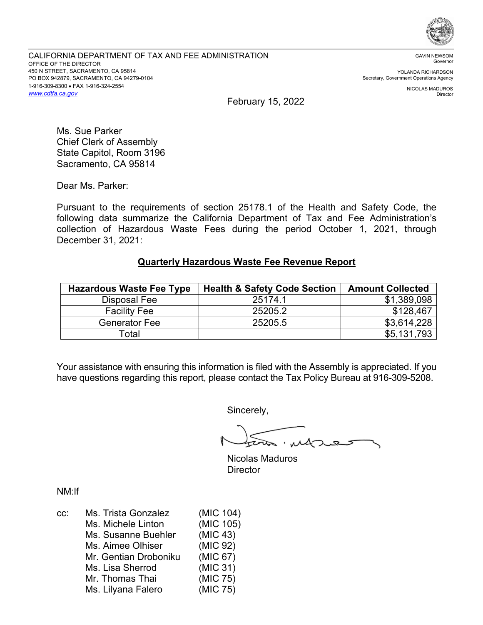

YOLANDA RICHARDSON Secretary, Government Operations Agency

> NICOLAS MADUROS Director

February 15, 2022

Ms. Sue Parker Chief Clerk of Assembly State Capitol, Room 3196 Sacramento, CA 95814

Dear Ms. Parker:

 collection of Hazardous Waste Fees during the period October 1, 2021, through December 31, 2021: Pursuant to the requirements of section 25178.1 of the Health and Safety Code, the following data summarize the California Department of Tax and Fee Administration's

## **Quarterly Hazardous Waste Fee Revenue Report**

| <b>Hazardous Waste Fee Type</b> | <b>Health &amp; Safety Code Section</b> | <b>Amount Collected</b> |
|---------------------------------|-----------------------------------------|-------------------------|
| Disposal Fee                    | 25174.1                                 | \$1,389,098             |
| <b>Facility Fee</b>             | 25205.2                                 | \$128,467               |
| <b>Generator Fee</b>            | 25205.5                                 | \$3,614,228             |
| Total                           |                                         | \$5,131,793             |

Your assistance with ensuring this information is filed with the Assembly is appreciated. If you have questions regarding this report, please contact the Tax Policy Bureau at 916-309-5208.

Sincerely,

tra, MAJURS

Nicolas Maduros **Director** 

NM:lf

| CC: | Ms. Trista Gonzalez   | (MIC 104) |
|-----|-----------------------|-----------|
|     | Ms. Michele Linton    | (MIC 105) |
|     | Ms. Susanne Buehler   | (MIC 43)  |
|     | Ms. Aimee Olhiser     | (MIC 92)  |
|     | Mr. Gentian Droboniku | (MIC 67)  |
|     | Ms. Lisa Sherrod      | (MIC 31)  |
|     | Mr. Thomas Thai       | (MIC 75)  |
|     | Ms. Lilyana Falero    | (MIC 75)  |
|     |                       |           |